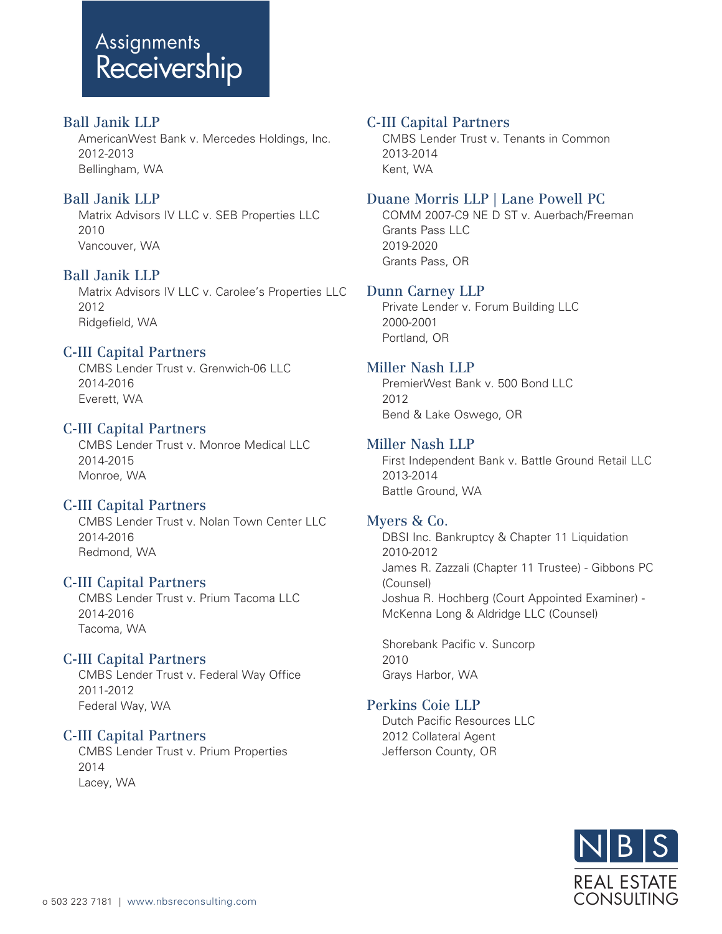# **Assignments** Receivership

# Ball Janik LLP

 AmericanWest Bank v. Mercedes Holdings, Inc. 2012-2013 Bellingham, WA

# Ball Janik LLP

 Matrix Advisors IV LLC v. SEB Properties LLC 2010 Vancouver, WA

# Ball Janik LLP

 Matrix Advisors IV LLC v. Carolee's Properties LLC 2012 Ridgefield, WA

# C-III Capital Partners

 CMBS Lender Trust v. Grenwich-06 LLC 2014-2016 Everett, WA

# C-III Capital Partners

 CMBS Lender Trust v. Monroe Medical LLC 2014-2015 Monroe, WA

## C-III Capital Partners

 CMBS Lender Trust v. Nolan Town Center LLC 2014-2016 Redmond, WA

## C-III Capital Partners

 CMBS Lender Trust v. Prium Tacoma LLC 2014-2016 Tacoma, WA

## C-III Capital Partners

 CMBS Lender Trust v. Federal Way Office 2011-2012 Federal Way, WA

## C-III Capital Partners

 CMBS Lender Trust v. Prium Properties 2014 Lacey, WA

## C-III Capital Partners

 CMBS Lender Trust v. Tenants in Common 2013-2014 Kent, WA

## Duane Morris LLP | Lane Powell PC

 COMM 2007-C9 NE D ST v. Auerbach/Freeman Grants Pass LLC 2019-2020 Grants Pass, OR

#### Dunn Carney LLP

 Private Lender v. Forum Building LLC 2000-2001 Portland, OR

## Miller Nash LLP

 PremierWest Bank v. 500 Bond LLC 2012 Bend & Lake Oswego, OR

#### Miller Nash LLP

 First Independent Bank v. Battle Ground Retail LLC 2013-2014 Battle Ground, WA

## Myers & Co.

 DBSI Inc. Bankruptcy & Chapter 11 Liquidation 2010-2012 James R. Zazzali (Chapter 11 Trustee) - Gibbons PC (Counsel) Joshua R. Hochberg (Court Appointed Examiner) - McKenna Long & Aldridge LLC (Counsel)

 Shorebank Pacific v. Suncorp 2010 Grays Harbor, WA

# Perkins Coie LLP

 Dutch Pacific Resources LLC 2012 Collateral Agent Jefferson County, OR